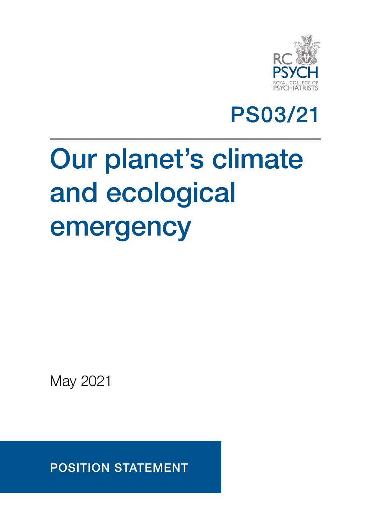

## PS03/21

# Our planet's climate and ecological emergency

May 2021

POSITION STATEMENT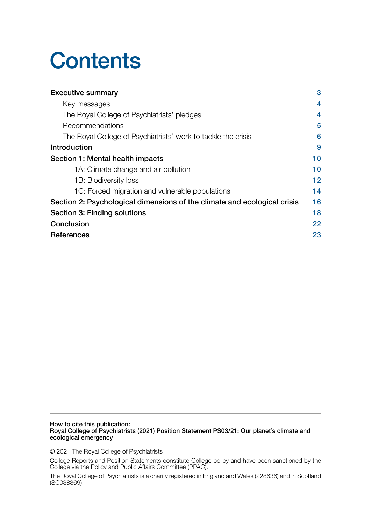## **Contents**

| <b>Executive summary</b>                                                 | 3               |
|--------------------------------------------------------------------------|-----------------|
| Key messages                                                             | 4               |
| The Royal College of Psychiatrists' pledges                              | 4               |
| Recommendations                                                          | 5               |
| The Royal College of Psychiatrists' work to tackle the crisis            | 6               |
| Introduction                                                             | 9               |
| Section 1: Mental health impacts                                         | 10              |
| 1A: Climate change and air pollution                                     | 10              |
| 1B: Biodiversity loss                                                    | 12 <sub>2</sub> |
| 1C: Forced migration and vulnerable populations                          | 14              |
| Section 2: Psychological dimensions of the climate and ecological crisis | 16              |
| Section 3: Finding solutions                                             | 18              |
| Conclusion                                                               | 22              |
| <b>References</b>                                                        | 23              |

How to cite this publication: Royal College of Psychiatrists (2021) Position Statement PS03/21: Our planet's climate and ecological emergency

© 2021 The Royal College of Psychiatrists

College Reports and Position Statements constitute College policy and have been sanctioned by the College via the Policy and Public Affairs Committee (PPAC).

The Royal College of Psychiatrists is a charity registered in England and Wales (228636) and in Scotland (SC038369).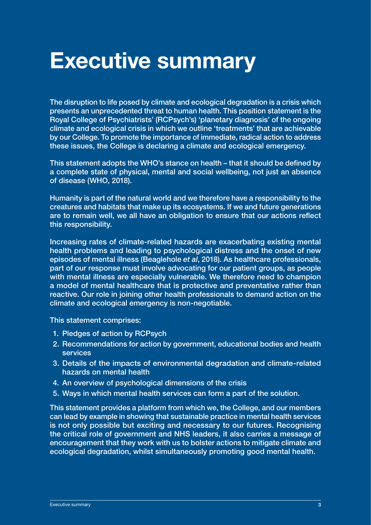## <span id="page-2-0"></span>Executive summary

The disruption to life posed by climate and ecological degradation is a crisis which presents an unprecedented threat to human health. This position statement is the Royal College of Psychiatrists' (RCPsych's) 'planetary diagnosis' of the ongoing climate and ecological crisis in which we outline 'treatments' that are achievable by our College. To promote the importance of immediate, radical action to address these issues, the College is declaring a climate and ecological emergency.

This statement adopts the WHO's stance on health – that it should be defined by a complete state of physical, mental and social wellbeing, not just an absence of disease (WHO, 2018).

Humanity is part of the natural world and we therefore have a responsibility to the creatures and habitats that make up its ecosystems. If we and future generations are to remain well, we all have an obligation to ensure that our actions reflect this responsibility.

Increasing rates of climate-related hazards are exacerbating existing mental health problems and leading to psychological distress and the onset of new episodes of mental illness (Beaglehole *et al*, 2018). As healthcare professionals, part of our response must involve advocating for our patient groups, as people with mental illness are especially vulnerable. We therefore need to champion a model of mental healthcare that is protective and preventative rather than reactive. Our role in joining other health professionals to demand action on the climate and ecological emergency is non-negotiable.

This statement comprises:

- 1. Pledges of action by RCPsych
- 2. Recommendations for action by government, educational bodies and health services
- 3. Details of the impacts of environmental degradation and climate-related hazards on mental health
- 4. An overview of psychological dimensions of the crisis
- 5. Ways in which mental health services can form a part of the solution.

This statement provides a platform from which we, the College, and our members can lead by example in showing that sustainable practice in mental health services is not only possible but exciting and necessary to our futures. Recognising the critical role of government and NHS leaders, it also carries a message of encouragement that they work with us to bolster actions to mitigate climate and ecological degradation, whilst simultaneously promoting good mental health.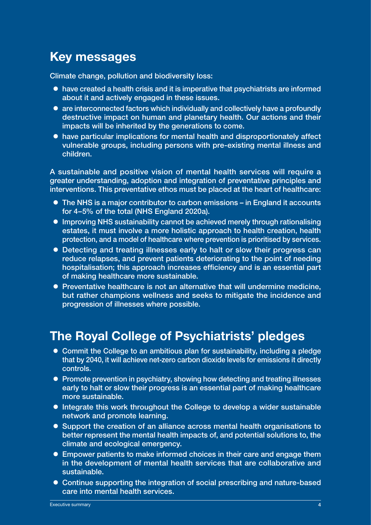## <span id="page-3-0"></span>Key messages

Climate change, pollution and biodiversity loss:

- $\bullet$  have created a health crisis and it is imperative that psychiatrists are informed about it and actively engaged in these issues.
- $\bullet$  are interconnected factors which individually and collectively have a profoundly destructive impact on human and planetary health. Our actions and their impacts will be inherited by the generations to come.
- have particular implications for mental health and disproportionately affect vulnerable groups, including persons with pre-existing mental illness and children.

A sustainable and positive vision of mental health services will require a greater understanding, adoption and integration of preventative principles and interventions. This preventative ethos must be placed at the heart of healthcare:

- The NHS is a major contributor to carbon emissions in England it accounts for 4–5% of the total (NHS England 2020a).
- **Improving NHS sustainability cannot be achieved merely through rationalising** estates, it must involve a more holistic approach to health creation, health protection, and a model of healthcare where prevention is prioritised by services.
- Detecting and treating illnesses early to halt or slow their progress can reduce relapses, and prevent patients deteriorating to the point of needing hospitalisation; this approach increases efficiency and is an essential part of making healthcare more sustainable.
- Preventative healthcare is not an alternative that will undermine medicine, but rather champions wellness and seeks to mitigate the incidence and progression of illnesses where possible.

### The Royal College of Psychiatrists' pledges

- Commit the College to an ambitious plan for sustainability, including a pledge that by 2040, it will achieve net-zero carbon dioxide levels for emissions it directly controls.
- Promote prevention in psychiatry, showing how detecting and treating illnesses early to halt or slow their progress is an essential part of making healthcare more sustainable.
- Integrate this work throughout the College to develop a wider sustainable network and promote learning.
- Support the creation of an alliance across mental health organisations to better represent the mental health impacts of, and potential solutions to, the climate and ecological emergency.
- Empower patients to make informed choices in their care and engage them in the development of mental health services that are collaborative and sustainable.
- Continue supporting the integration of social prescribing and nature-based care into mental health services.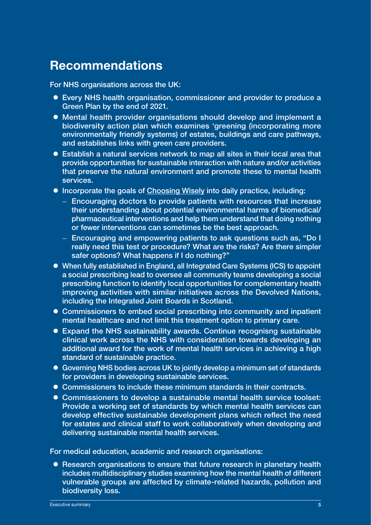### <span id="page-4-0"></span>Recommendations

For NHS organisations across the UK:

- Every NHS health organisation, commissioner and provider to produce a Green Plan by the end of 2021.
- **Mental health provider organisations should develop and implement a** biodiversity action plan which examines 'greening (incorporating more environmentally friendly systems) of estates, buildings and care pathways, and establishes links with green care providers.
- Establish a natural services network to map all sites in their local area that provide opportunities for sustainable interaction with nature and/or activities that preserve the natural environment and promote these to mental health services.
- Incorporate the goals of [Choosing Wisely](www.choosingwisely.org/) into daily practice, including:
	- − Encouraging doctors to provide patients with resources that increase their understanding about potential environmental harms of biomedical/ pharmaceutical interventions and help them understand that doing nothing or fewer interventions can sometimes be the best approach.
	- − Encouraging and empowering patients to ask questions such as, "Do I really need this test or procedure? What are the risks? Are there simpler safer options? What happens if I do nothing?"
- When fully established in England, all Integrated Care Systems (ICS) to appoint a social prescribing lead to oversee all community teams developing a social prescribing function to identify local opportunities for complementary health improving activities with similar initiatives across the Devolved Nations, including the Integrated Joint Boards in Scotland.
- Commissioners to embed social prescribing into community and inpatient mental healthcare and not limit this treatment option to primary care.
- Expand the NHS sustainability awards. Continue recognisng sustainable clinical work across the NHS with consideration towards developing an additional award for the work of mental health services in achieving a high standard of sustainable practice.
- Governing NHS bodies across UK to jointly develop a minimum set of standards for providers in developing sustainable services.
- Commissioners to include these minimum standards in their contracts.
- Commissioners to develop a sustainable mental health service toolset: Provide a working set of standards by which mental health services can develop effective sustainable development plans which reflect the need for estates and clinical staff to work collaboratively when developing and delivering sustainable mental health services.

For medical education, academic and research organisations:

• Research organisations to ensure that future research in planetary health includes multidisciplinary studies examining how the mental health of different vulnerable groups are affected by climate-related hazards, pollution and biodiversity loss.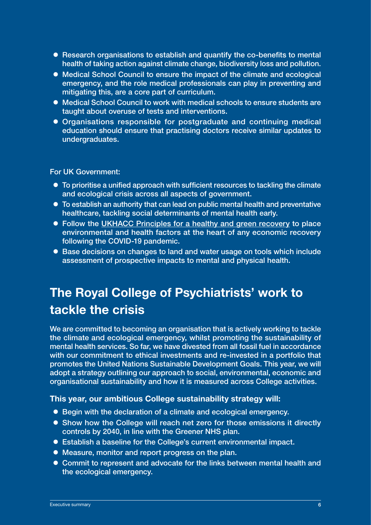- <span id="page-5-0"></span>• Research organisations to establish and quantify the co-benefits to mental health of taking action against climate change, biodiversity loss and pollution.
- Medical School Council to ensure the impact of the climate and ecological emergency, and the role medical professionals can play in preventing and mitigating this, are a core part of curriculum.
- Medical School Council to work with medical schools to ensure students are taught about overuse of tests and interventions.
- Organisations responsible for postgraduate and continuing medical education should ensure that practising doctors receive similar updates to undergraduates.

For UK Government:

- $\bullet$  To prioritise a unified approach with sufficient resources to tackling the climate and ecological crisis across all aspects of government.
- To establish an authority that can lead on public mental health and preventative healthcare, tackling social determinants of mental health early.
- Follow the [UKHACC Principles for a healthy and green recovery](http://www.ukhealthalliance.org/wp-content/uploads/2020/06/UKHACC-Principles-Priorities-for-a-HealthyRecovery.pdf) to place environmental and health factors at the heart of any economic recovery following the COVID-19 pandemic.
- Base decisions on changes to land and water usage on tools which include assessment of prospective impacts to mental and physical health.

## The Royal College of Psychiatrists' work to tackle the crisis

We are committed to becoming an organisation that is actively working to tackle the climate and ecological emergency, whilst promoting the sustainability of mental health services. So far, we have divested from all fossil fuel in accordance with our commitment to ethical investments and re-invested in a portfolio that promotes the United Nations Sustainable Development Goals. This year, we will adopt a strategy outlining our approach to social, environmental, economic and organisational sustainability and how it is measured across College activities.

#### This year, our ambitious College sustainability strategy will:

- Begin with the declaration of a climate and ecological emergency.
- Show how the College will reach net zero for those emissions it directly controls by 2040, in line with the Greener NHS plan.
- Establish a baseline for the College's current environmental impact.
- $\bullet$  Measure, monitor and report progress on the plan.
- Commit to represent and advocate for the links between mental health and the ecological emergency.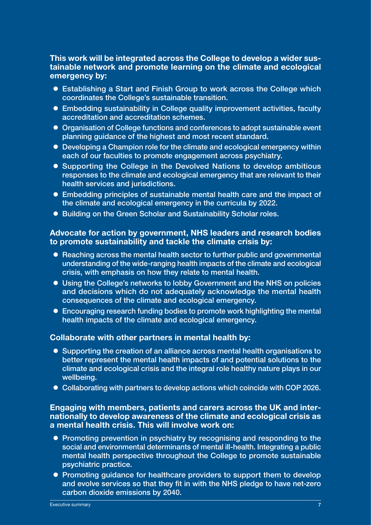#### This work will be integrated across the College to develop a wider sustainable network and promote learning on the climate and ecological emergency by:

- Establishing a Start and Finish Group to work across the College which coordinates the College's sustainable transition.
- Embedding sustainability in College quality improvement activities, faculty accreditation and accreditation schemes.
- Organisation of College functions and conferences to adopt sustainable event planning guidance of the highest and most recent standard.
- Developing a Champion role for the climate and ecological emergency within each of our faculties to promote engagement across psychiatry.
- Supporting the College in the Devolved Nations to develop ambitious responses to the climate and ecological emergency that are relevant to their health services and jurisdictions.
- Embedding principles of sustainable mental health care and the impact of the climate and ecological emergency in the curricula by 2022.
- Building on the Green Scholar and Sustainability Scholar roles.

#### Advocate for action by government, NHS leaders and research bodies to promote sustainability and tackle the climate crisis by:

- Reaching across the mental health sector to further public and governmental understanding of the wide-ranging health impacts of the climate and ecological crisis, with emphasis on how they relate to mental health.
- Using the College's networks to lobby Government and the NHS on policies and decisions which do not adequately acknowledge the mental health consequences of the climate and ecological emergency.
- Encouraging research funding bodies to promote work highlighting the mental health impacts of the climate and ecological emergency.

#### Collaborate with other partners in mental health by:

- Supporting the creation of an alliance across mental health organisations to better represent the mental health impacts of and potential solutions to the climate and ecological crisis and the integral role healthy nature plays in our wellbeing.
- Collaborating with partners to develop actions which coincide with COP 2026.

#### Engaging with members, patients and carers across the UK and internationally to develop awareness of the climate and ecological crisis as a mental health crisis. This will involve work on:

- Promoting prevention in psychiatry by recognising and responding to the social and environmental determinants of mental ill-health. Integrating a public mental health perspective throughout the College to promote sustainable psychiatric practice.
- Promoting guidance for healthcare providers to support them to develop and evolve services so that they fit in with the NHS pledge to have net-zero carbon dioxide emissions by 2040.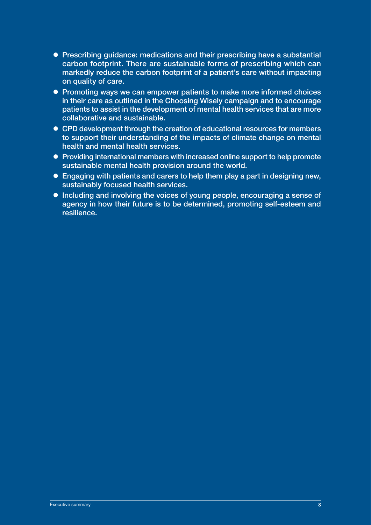- Prescribing guidance: medications and their prescribing have a substantial carbon footprint. There are sustainable forms of prescribing which can markedly reduce the carbon footprint of a patient's care without impacting on quality of care.
- Promoting ways we can empower patients to make more informed choices in their care as outlined in the Choosing Wisely campaign and to encourage patients to assist in the development of mental health services that are more collaborative and sustainable.
- CPD development through the creation of educational resources for members to support their understanding of the impacts of climate change on mental health and mental health services.
- Providing international members with increased online support to help promote sustainable mental health provision around the world.
- $\bullet$  Engaging with patients and carers to help them play a part in designing new. sustainably focused health services.
- Including and involving the voices of young people, encouraging a sense of agency in how their future is to be determined, promoting self-esteem and resilience.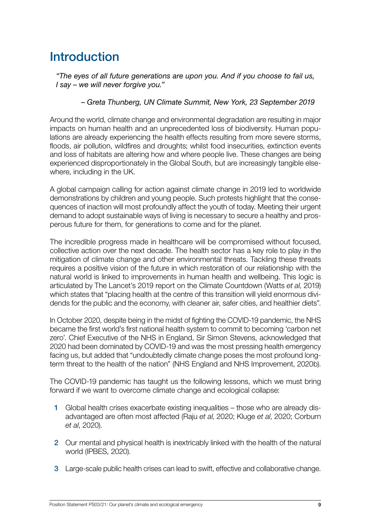## <span id="page-8-0"></span>**Introduction**

*"The eyes of all future generations are upon you. And if you choose to fail us, I say – we will never forgive you."* 

*– Greta Thunberg, UN Climate Summit, New York, 23 September 2019*

Around the world, climate change and environmental degradation are resulting in major impacts on human health and an unprecedented loss of biodiversity. Human populations are already experiencing the health effects resulting from more severe storms, floods, air pollution, wildfires and droughts; whilst food insecurities, extinction events and loss of habitats are altering how and where people live. These changes are being experienced disproportionately in the Global South, but are increasingly tangible elsewhere, including in the UK.

A global campaign calling for action against climate change in 2019 led to worldwide demonstrations by children and young people. Such protests highlight that the consequences of inaction will most profoundly affect the youth of today. Meeting their urgent demand to adopt sustainable ways of living is necessary to secure a healthy and prosperous future for them, for generations to come and for the planet.

The incredible progress made in healthcare will be compromised without focused, collective action over the next decade. The health sector has a key role to play in the mitigation of climate change and other environmental threats. Tackling these threats requires a positive vision of the future in which restoration of our relationship with the natural world is linked to improvements in human health and wellbeing. This logic is articulated by The Lancet's 2019 report on the Climate Countdown (Watts *et al*, 2019) which states that "placing health at the centre of this transition will yield enormous dividends for the public and the economy, with cleaner air, safer cities, and healthier diets".

In October 2020, despite being in the midst of fighting the COVID-19 pandemic, the NHS became the first world's first national health system to commit to becoming 'carbon net zero'. Chief Executive of the NHS in England, Sir Simon Stevens, acknowledged that 2020 had been dominated by COVID-19 and was the most pressing health emergency facing us, but added that "undoubtedly climate change poses the most profound longterm threat to the health of the nation" (NHS England and NHS Improvement, 2020b).

The COVID-19 pandemic has taught us the following lessons, which we must bring forward if we want to overcome climate change and ecological collapse:

- 1 Global health crises exacerbate existing inequalities those who are already disadvantaged are often most affected (Raju *et al*, 2020; Kluge *et al*, 2020; Corburn *et al*, 2020).
- 2 Our mental and physical health is inextricably linked with the health of the natural world (IPBES, 2020).
- 3 Large-scale public health crises can lead to swift, effective and collaborative change.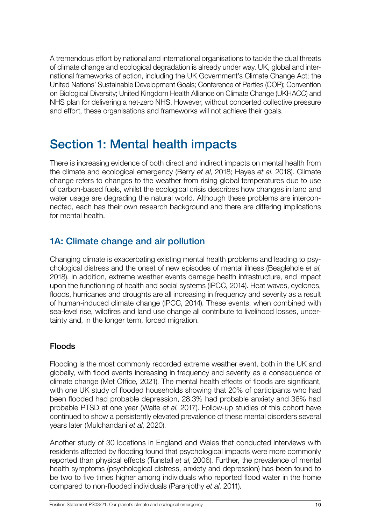<span id="page-9-0"></span>A tremendous effort by national and international organisations to tackle the dual threats of climate change and ecological degradation is already under way. UK, global and international frameworks of action, including the UK Government's Climate Change Act; the United Nations' Sustainable Development Goals; Conference of Parties (COP); Convention on Biological Diversity; United Kingdom Health Alliance on Climate Change (UKHACC) and NHS plan for delivering a net-zero NHS. However, without concerted collective pressure and effort, these organisations and frameworks will not achieve their goals.

## Section 1: Mental health impacts

There is increasing evidence of both direct and indirect impacts on mental health from the climate and ecological emergency (Berry *et al*, 2018; Hayes *et al*, 2018). Climate change refers to changes to the weather from rising global temperatures due to use of carbon-based fuels, whilst the ecological crisis describes how changes in land and water usage are degrading the natural world. Although these problems are interconnected, each has their own research background and there are differing implications for mental health.

#### 1A: Climate change and air pollution

Changing climate is exacerbating existing mental health problems and leading to psychological distress and the onset of new episodes of mental illness (Beaglehole *et al*, 2018). In addition, extreme weather events damage health infrastructure, and impact upon the functioning of health and social systems (IPCC, 2014). Heat waves, cyclones, floods, hurricanes and droughts are all increasing in frequency and severity as a result of human-induced climate change (IPCC, 2014). These events, when combined with sea-level rise, wildfires and land use change all contribute to livelihood losses, uncertainty and, in the longer term, forced migration.

#### Floods

Flooding is the most commonly recorded extreme weather event, both in the UK and globally, with flood events increasing in frequency and severity as a consequence of climate change (Met Office, 2021). The mental health effects of floods are significant, with one UK study of flooded households showing that 20% of participants who had been flooded had probable depression, 28.3% had probable anxiety and 36% had probable PTSD at one year (Waite *et al*, 2017). Follow-up studies of this cohort have continued to show a persistently elevated prevalence of these mental disorders several years later (Mulchandani *et al*, 2020).

Another study of 30 locations in England and Wales that conducted interviews with residents affected by flooding found that psychological impacts were more commonly reported than physical effects (Tunstall *et al*, 2006). Further, the prevalence of mental health symptoms (psychological distress, anxiety and depression) has been found to be two to five times higher among individuals who reported flood water in the home compared to non-flooded individuals (Paranjothy *et al*, 2011).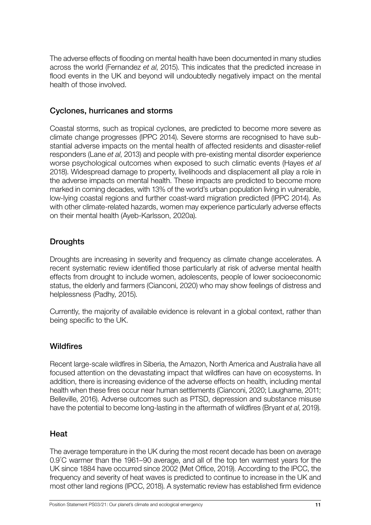The adverse effects of flooding on mental health have been documented in many studies across the world (Fernandez *et al*, 2015). This indicates that the predicted increase in flood events in the UK and beyond will undoubtedly negatively impact on the mental health of those involved.

#### Cyclones, hurricanes and storms

Coastal storms, such as tropical cyclones, are predicted to become more severe as climate change progresses (IPPC 2014). Severe storms are recognised to have substantial adverse impacts on the mental health of affected residents and disaster-relief responders (Lane *et al*, 2013) and people with pre-existing mental disorder experience worse psychological outcomes when exposed to such climatic events (Hayes *et al* 2018). Widespread damage to property, livelihoods and displacement all play a role in the adverse impacts on mental health. These impacts are predicted to become more marked in coming decades, with 13% of the world's urban population living in vulnerable, low-lying coastal regions and further coast-ward migration predicted (IPPC 2014). As with other climate-related hazards, women may experience particularly adverse effects on their mental health (Ayeb-Karlsson, 2020a).

#### **Droughts**

Droughts are increasing in severity and frequency as climate change accelerates. A recent systematic review identified those particularly at risk of adverse mental health effects from drought to include women, adolescents, people of lower socioeconomic status, the elderly and farmers (Cianconi, 2020) who may show feelings of distress and helplessness (Padhy, 2015).

Currently, the majority of available evidence is relevant in a global context, rather than being specific to the UK.

#### **Wildfires**

Recent large-scale wildfires in Siberia, the Amazon, North America and Australia have all focused attention on the devastating impact that wildfires can have on ecosystems. In addition, there is increasing evidence of the adverse effects on health, including mental health when these fires occur near human settlements (Cianconi, 2020; Laugharne, 2011; Belleville, 2016). Adverse outcomes such as PTSD, depression and substance misuse have the potential to become long-lasting in the aftermath of wildfires (Bryant *et al*, 2019).

#### **Heat**

The average temperature in the UK during the most recent decade has been on average 0.9º C warmer than the 1961–90 average, and all of the top ten warmest years for the UK since 1884 have occurred since 2002 (Met Office, 2019). According to the IPCC, the frequency and severity of heat waves is predicted to continue to increase in the UK and most other land regions (IPCC, 2018). A systematic review has established firm evidence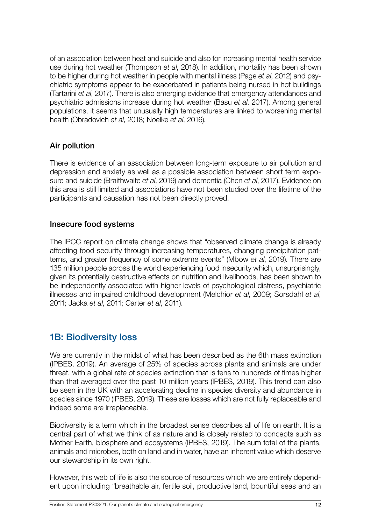<span id="page-11-0"></span>of an association between heat and suicide and also for increasing mental health service use during hot weather (Thompson *et al*, 2018). In addition, mortality has been shown to be higher during hot weather in people with mental illness (Page *et al*, 2012) and psychiatric symptoms appear to be exacerbated in patients being nursed in hot buildings (Tartarini *et al*, 2017). There is also emerging evidence that emergency attendances and psychiatric admissions increase during hot weather (Basu *et al*, 2017). Among general populations, it seems that unusually high temperatures are linked to worsening mental health (Obradovich *et al*, 2018; Noelke *et al*, 2016).

#### Air pollution

There is evidence of an association between long-term exposure to air pollution and depression and anxiety as well as a possible association between short term exposure and suicide (Braithwaite *et al*, 2019) and dementia (Chen *et al*, 2017). Evidence on this area is still limited and associations have not been studied over the lifetime of the participants and causation has not been directly proved.

#### Insecure food systems

The IPCC report on climate change shows that "observed climate change is already affecting food security through increasing temperatures, changing precipitation patterns, and greater frequency of some extreme events" (Mbow *et al*, 2019). There are 135 million people across the world experiencing food insecurity which, unsurprisingly, given its potentially destructive effects on nutrition and livelihoods, has been shown to be independently associated with higher levels of psychological distress, psychiatric illnesses and impaired childhood development (Melchior *et al*, 2009; Sorsdahl *et al*, 2011; Jacka *et al*, 2011; Carter *et al*, 2011).

#### 1B: Biodiversity loss

We are currently in the midst of what has been described as the 6th mass extinction (IPBES, 2019). An average of 25% of species across plants and animals are under threat, with a global rate of species extinction that is tens to hundreds of times higher than that averaged over the past 10 million years (IPBES, 2019). This trend can also be seen in the UK with an accelerating decline in species diversity and abundance in species since 1970 (IPBES, 2019). These are losses which are not fully replaceable and indeed some are irreplaceable.

Biodiversity is a term which in the broadest sense describes all of life on earth. It is a central part of what we think of as nature and is closely related to concepts such as Mother Earth, biosphere and ecosystems (IPBES, 2019). The sum total of the plants, animals and microbes, both on land and in water, have an inherent value which deserve our stewardship in its own right.

However, this web of life is also the source of resources which we are entirely dependent upon including "breathable air, fertile soil, productive land, bountiful seas and an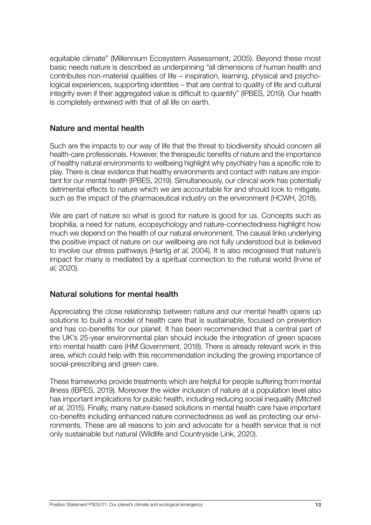equitable climate" (Millennium Ecosystem Assessment, 2005). Beyond these most basic needs nature is described as underpinning "all dimensions of human health and contributes non-material qualities of life – inspiration, learning, physical and psychological experiences, supporting identities – that are central to quality of life and cultural integrity even if their aggregated value is difficult to quantify" (IPBES, 2019). Our health is completely entwined with that of all life on earth.

#### Nature and mental health

Such are the impacts to our way of life that the threat to biodiversity should concern all health-care professionals. However, the therapeutic benefits of nature and the importance of healthy natural environments to wellbeing highlight why psychiatry has a specific role to play. There is clear evidence that healthy environments and contact with nature are important for our mental health (IPBES, 2019). Simultaneously, our clinical work has potentially detrimental effects to nature which we are accountable for and should look to mitigate, such as the impact of the pharmaceutical industry on the environment (HCWH, 2018).

We are part of nature so what is good for nature is good for us. Concepts such as biophilia, a need for nature, ecopsychology and nature-connectedness highlight how much we depend on the health of our natural environment. The causal links underlying the positive impact of nature on our wellbeing are not fully understood but is believed to involve our stress pathways (Hartig *et al*, 2004). It is also recognised that nature's impact for many is mediated by a spiritual connection to the natural world (Irvine *et al*, 2020).

#### Natural solutions for mental health

Appreciating the close relationship between nature and our mental health opens up solutions to build a model of health care that is sustainable, focused on prevention and has co-benefits for our planet. It has been recommended that a central part of the UK's 25-year environmental plan should include the integration of green spaces into mental health care (HM Government, 2018). There is already relevant work in this area, which could help with this recommendation including the growing importance of social-prescribing and green care.

These frameworks provide treatments which are helpful for people suffering from mental illness (IBPES, 2019). Moreover the wider inclusion of nature at a population level also has important implications for public health, including reducing social inequality (Mitchell *et al*, 2015). Finally, many nature-based solutions in mental health care have important co-benefits including enhanced nature connectedness as well as protecting our environments. These are all reasons to join and advocate for a health service that is not only sustainable but natural (Wildlife and Countryside Link, 2020).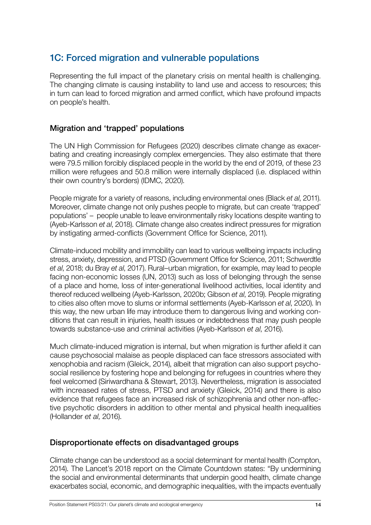#### <span id="page-13-0"></span>1C: Forced migration and vulnerable populations

Representing the full impact of the planetary crisis on mental health is challenging. The changing climate is causing instability to land use and access to resources; this in turn can lead to forced migration and armed conflict, which have profound impacts on people's health.

#### Migration and 'trapped' populations

The UN High Commission for Refugees (2020) describes climate change as exacerbating and creating increasingly complex emergencies. They also estimate that there were 79.5 million forcibly displaced people in the world by the end of 2019, of these 23 million were refugees and 50.8 million were internally displaced (i.e. displaced within their own country's borders) (IDMC, 2020).

People migrate for a variety of reasons, including environmental ones (Black *et al*, 2011). Moreover, climate change not only pushes people to migrate, but can create 'trapped' populations' – people unable to leave environmentally risky locations despite wanting to (Ayeb-Karlsson *et al*, 2018). Climate change also creates indirect pressures for migration by instigating armed-conflicts (Government Office for Science, 2011).

Climate-induced mobility and immobility can lead to various wellbeing impacts including stress, anxiety, depression, and PTSD (Government Office for Science, 2011; Schwerdtle *et al*, 2018; du Bray *et al*, 2017). Rural–urban migration, for example, may lead to people facing non-economic losses (UN, 2013) such as loss of belonging through the sense of a place and home, loss of inter-generational livelihood activities, local identity and thereof reduced wellbeing (Ayeb-Karlsson, 2020b; Gibson *et al*, 2019). People migrating to cities also often move to slums or informal settlements (Ayeb-Karlsson *et al*, 2020). In this way, the new urban life may introduce them to dangerous living and working conditions that can result in injuries, health issues or indebtedness that may push people towards substance-use and criminal activities (Ayeb-Karlsson *et al*, 2016).

Much climate-induced migration is internal, but when migration is further afield it can cause psychosocial malaise as people displaced can face stressors associated with xenophobia and racism (Gleick, 2014), albeit that migration can also support psychosocial resilience by fostering hope and belonging for refugees in countries where they feel welcomed (Siriwardhana & Stewart, 2013). Nevertheless, migration is associated with increased rates of stress, PTSD and anxiety (Gleick, 2014) and there is also evidence that refugees face an increased risk of schizophrenia and other non-affective psychotic disorders in addition to other mental and physical health inequalities (Hollander *et al*, 2016).

#### Disproportionate effects on disadvantaged groups

Climate change can be understood as a social determinant for mental health (Compton, 2014). The Lancet's 2018 report on the Climate Countdown states: "By undermining the social and environmental determinants that underpin good health, climate change exacerbates social, economic, and demographic inequalities, with the impacts eventually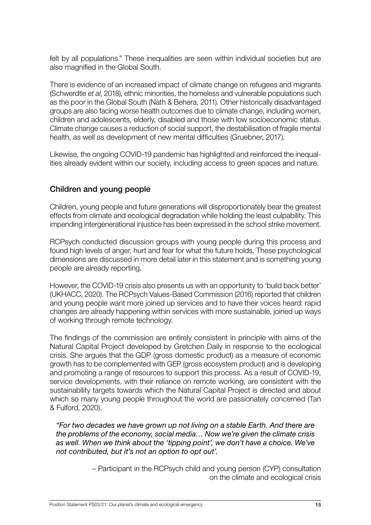felt by all populations." These inequalities are seen within individual societies but are also magnified in the Global South.

There is evidence of an increased impact of climate change on refugees and migrants (Schwerdtle *et al*, 2018), ethnic minorities, the homeless and vulnerable populations such as the poor in the Global South (Nath & Behera, 2011). Other historically disadvantaged groups are also facing worse health outcomes due to climate change, including women, children and adolescents, elderly, disabled and those with low socioeconomic status. Climate change causes a reduction of social support, the destabilisation of fragile mental health, as well as development of new mental difficulties (Gruebner, 2017).

Likewise, the ongoing COVID-19 pandemic has highlighted and reinforced the inequalities already evident within our society, including access to green spaces and nature.

#### Children and young people

Children, young people and future generations will disproportionately bear the greatest effects from climate and ecological degradation while holding the least culpability. This impending intergenerational injustice has been expressed in the school strike movement.

RCPsych conducted discussion groups with young people during this process and found high levels of anger, hurt and fear for what the future holds. These psychological dimensions are discussed in more detail later in this statement and is something young people are already reporting.

However, the COVID-19 crisis also presents us with an opportunity to 'build back better' (UKHACC, 2020). The RCPsych Values-Based Commission (2016) reported that children and young people want more joined up services and to have their voices heard: rapid changes are already happening within services with more sustainable, joined up ways of working through remote technology.

The findings of the commission are entirely consistent in principle with aims of the Natural Capital Project developed by Gretchen Daily in response to the ecological crisis. She argues that the GDP (gross domestic product) as a measure of economic growth has to be complemented with GEP (gross ecosystem product) and is developing and promoting a range of resources to support this process. As a result of COVID-19, service developments, with their reliance on remote working, are consistent with the sustainability targets towards which the Natural Capital Project is directed and about which so many young people throughout the world are passionately concerned (Tan & Fulford, 2020).

*"For two decades we have grown up not living on a stable Earth. And there are the problems of the economy, social media… Now we're given the climate crisis*  as well. When we think about the 'tipping point', we don't have a choice. We've *not contributed, but it's not an option to opt out'.* 

> – Participant in the RCPsych child and young person (CYP) consultation on the climate and ecological crisis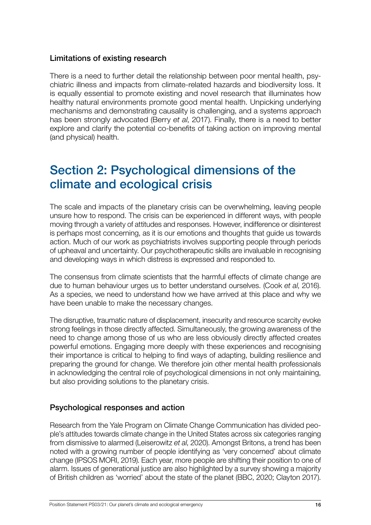#### <span id="page-15-0"></span>Limitations of existing research

There is a need to further detail the relationship between poor mental health, psychiatric illness and impacts from climate-related hazards and biodiversity loss. It is equally essential to promote existing and novel research that illuminates how healthy natural environments promote good mental health. Unpicking underlying mechanisms and demonstrating causality is challenging, and a systems approach has been strongly advocated (Berry *et al*, 2017). Finally, there is a need to better explore and clarify the potential co-benefits of taking action on improving mental (and physical) health.

## Section 2: Psychological dimensions of the climate and ecological crisis

The scale and impacts of the planetary crisis can be overwhelming, leaving people unsure how to respond. The crisis can be experienced in different ways, with people moving through a variety of attitudes and responses. However, indifference or disinterest is perhaps most concerning, as it is our emotions and thoughts that guide us towards action. Much of our work as psychiatrists involves supporting people through periods of upheaval and uncertainty. Our psychotherapeutic skills are invaluable in recognising and developing ways in which distress is expressed and responded to.

The consensus from climate scientists that the harmful effects of climate change are due to human behaviour urges us to better understand ourselves. (Cook *et al*, 2016). As a species, we need to understand how we have arrived at this place and why we have been unable to make the necessary changes.

The disruptive, traumatic nature of displacement, insecurity and resource scarcity evoke strong feelings in those directly affected. Simultaneously, the growing awareness of the need to change among those of us who are less obviously directly affected creates powerful emotions. Engaging more deeply with these experiences and recognising their importance is critical to helping to find ways of adapting, building resilience and preparing the ground for change. We therefore join other mental health professionals in acknowledging the central role of psychological dimensions in not only maintaining, but also providing solutions to the planetary crisis.

#### Psychological responses and action

Research from the Yale Program on Climate Change Communication has divided people's attitudes towards climate change in the United States across six categories ranging from dismissive to alarmed (Leiserowitz *et al*, 2020). Amongst Britons, a trend has been noted with a growing number of people identifying as 'very concerned' about climate change (IPSOS MORI, 2019). Each year, more people are shifting their position to one of alarm. Issues of generational justice are also highlighted by a survey showing a majority of British children as 'worried' about the state of the planet (BBC, 2020; Clayton 2017).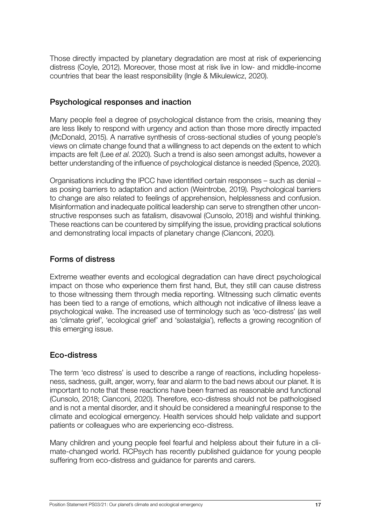Those directly impacted by planetary degradation are most at risk of experiencing distress (Coyle, 2012). Moreover, those most at risk live in low- and middle-income countries that bear the least responsibility (Ingle & Mikulewicz, 2020).

#### Psychological responses and inaction

Many people feel a degree of psychological distance from the crisis, meaning they are less likely to respond with urgency and action than those more directly impacted (McDonald, 2015). A narrative synthesis of cross-sectional studies of young people's views on climate change found that a willingness to act depends on the extent to which impacts are felt (Lee *et al*. 2020). Such a trend is also seen amongst adults, however a better understanding of the influence of psychological distance is needed (Spence, 2020).

Organisations including the IPCC have identified certain responses – such as denial – as posing barriers to adaptation and action (Weintrobe, 2019). Psychological barriers to change are also related to feelings of apprehension, helplessness and confusion. Misinformation and inadequate political leadership can serve to strengthen other unconstructive responses such as fatalism, disavowal (Cunsolo, 2018) and wishful thinking. These reactions can be countered by simplifying the issue, providing practical solutions and demonstrating local impacts of planetary change (Cianconi, 2020).

#### Forms of distress

Extreme weather events and ecological degradation can have direct psychological impact on those who experience them first hand, But, they still can cause distress to those witnessing them through media reporting. Witnessing such climatic events has been tied to a range of emotions, which although not indicative of illness leave a psychological wake. The increased use of terminology such as 'eco-distress' (as well as 'climate grief', 'ecological grief' and 'solastalgia'), reflects a growing recognition of this emerging issue.

#### Eco-distress

The term 'eco distress' is used to describe a range of reactions, including hopelessness, sadness, guilt, anger, worry, fear and alarm to the bad news about our planet. It is important to note that these reactions have been framed as reasonable and functional (Cunsolo, 2018; Cianconi, 2020). Therefore, eco-distress should not be pathologised and is not a mental disorder, and it should be considered a meaningful response to the climate and ecological emergency. Health services should help validate and support patients or colleagues who are experiencing eco-distress.

Many children and young people feel fearful and helpless about their future in a climate-changed world. RCPsych has recently published guidance for young people suffering from eco-distress and guidance for parents and carers.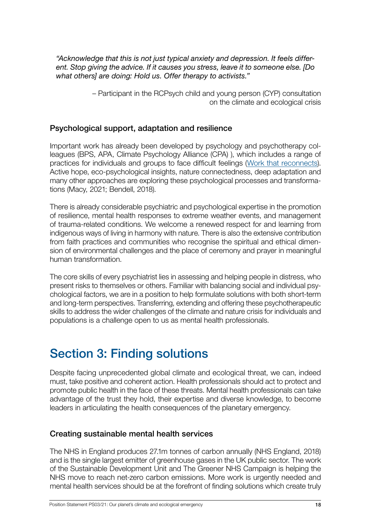<span id="page-17-0"></span>*"Acknowledge that this is not just typical anxiety and depression. It feels different. Stop giving the advice. If it causes you stress, leave it to someone else. [Do what others] are doing: Hold us. Offer therapy to activists."* 

> – Participant in the RCPsych child and young person (CYP) consultation on the climate and ecological crisis

#### Psychological support, adaptation and resilience

Important work has already been developed by psychology and psychotherapy colleagues (BPS, APA, Climate Psychology Alliance (CPA) ), which includes a range of practices for individuals and groups to face difficult feelings ([Work that reconnects](https://workthatreconnects.org)). Active hope, eco-psychological insights, nature connectedness, deep adaptation and many other approaches are exploring these psychological processes and transformations (Macy, 2021; Bendell, 2018).

There is already considerable psychiatric and psychological expertise in the promotion of resilience, mental health responses to extreme weather events, and management of trauma-related conditions. We welcome a renewed respect for and learning from indigenous ways of living in harmony with nature. There is also the extensive contribution from faith practices and communities who recognise the spiritual and ethical dimension of environmental challenges and the place of ceremony and prayer in meaningful human transformation.

The core skills of every psychiatrist lies in assessing and helping people in distress, who present risks to themselves or others. Familiar with balancing social and individual psychological factors, we are in a position to help formulate solutions with both short-term and long-term perspectives. Transferring, extending and offering these psychotherapeutic skills to address the wider challenges of the climate and nature crisis for individuals and populations is a challenge open to us as mental health professionals.

## Section 3: Finding solutions

Despite facing unprecedented global climate and ecological threat, we can, indeed must, take positive and coherent action. Health professionals should act to protect and promote public health in the face of these threats. Mental health professionals can take advantage of the trust they hold, their expertise and diverse knowledge, to become leaders in articulating the health consequences of the planetary emergency.

#### Creating sustainable mental health services

The NHS in England produces 27.1m tonnes of carbon annually (NHS England, 2018) and is the single largest emitter of greenhouse gases in the UK public sector. The work of the Sustainable Development Unit and The Greener NHS Campaign is helping the NHS move to reach net-zero carbon emissions. More work is urgently needed and mental health services should be at the forefront of finding solutions which create truly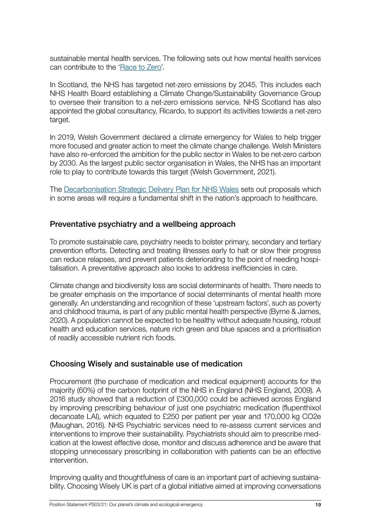sustainable mental health services. The following sets out how mental health services can contribute to the '[Race to Zero'](https://unfccc.int/climate-action/race-to-zero-campaign#eq-3).

In Scotland, the NHS has targeted net-zero emissions by 2045. This includes each NHS Health Board establishing a Climate Change/Sustainability Governance Group to oversee their transition to a net-zero emissions service. NHS Scotland has also appointed the global consultancy, Ricardo, to support its activities towards a net-zero target.

In 2019, Welsh Government declared a climate emergency for Wales to help trigger more focused and greater action to meet the climate change challenge. Welsh Ministers have also re-enforced the ambition for the public sector in Wales to be net-zero carbon by 2030. As the largest public sector organisation in Wales, the NHS has an important role to play to contribute towards this target (Welsh Government, 2021).

The [Decarbonisation Strategic Delivery Plan for NHS Wales](https://gov.wales/nhs-wales-decarbonisation-strategic-delivery-plan) sets out proposals which in some areas will require a fundamental shift in the nation's approach to healthcare.

#### Preventative psychiatry and a wellbeing approach

To promote sustainable care, psychiatry needs to bolster primary, secondary and tertiary prevention efforts. Detecting and treating illnesses early to halt or slow their progress can reduce relapses, and prevent patients deteriorating to the point of needing hospitalisation. A preventative approach also looks to address inefficiencies in care.

Climate change and biodiversity loss are social determinants of health. There needs to be greater emphasis on the importance of social determinants of mental health more generally. An understanding and recognition of these 'upstream factors', such as poverty and childhood trauma, is part of any public mental health perspective (Byrne & James, 2020). A population cannot be expected to be healthy without adequate housing, robust health and education services, nature rich green and blue spaces and a prioritisation of readily accessible nutrient rich foods.

#### Choosing Wisely and sustainable use of medication

Procurement (the purchase of medication and medical equipment) accounts for the majority (60%) of the carbon footprint of the NHS in England (NHS England, 2009). A 2016 study showed that a reduction of £300,000 could be achieved across England by improving prescribing behaviour of just one psychiatric medication (flupenthixol decanoate LAI), which equated to £250 per patient per year and 170,000 kg CO2e (Maughan, 2016). NHS Psychiatric services need to re-assess current services and interventions to improve their sustainability. Psychiatrists should aim to prescribe medication at the lowest effective dose, monitor and discuss adherence and be aware that stopping unnecessary prescribing in collaboration with patients can be an effective intervention.

Improving quality and thoughtfulness of care is an important part of achieving sustainability. Choosing Wisely UK is part of a global initiative aimed at improving conversations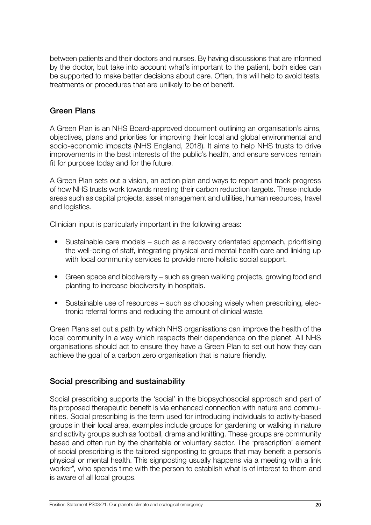between patients and their doctors and nurses. By having discussions that are informed by the doctor, but take into account what's important to the patient, both sides can be supported to make better decisions about care. Often, this will help to avoid tests, treatments or procedures that are unlikely to be of benefit.

#### Green Plans

A Green Plan is an NHS Board-approved document outlining an organisation's aims, objectives, plans and priorities for improving their local and global environmental and socio-economic impacts (NHS England, 2018). It aims to help NHS trusts to drive improvements in the best interests of the public's health, and ensure services remain fit for purpose today and for the future.

A Green Plan sets out a vision, an action plan and ways to report and track progress of how NHS trusts work towards meeting their carbon reduction targets. These include areas such as capital projects, asset management and utilities, human resources, travel and logistics.

Clinician input is particularly important in the following areas:

- Sustainable care models such as a recovery orientated approach, prioritising the well-being of staff, integrating physical and mental health care and linking up with local community services to provide more holistic social support.
- Green space and biodiversity such as green walking projects, growing food and planting to increase biodiversity in hospitals.
- Sustainable use of resources such as choosing wisely when prescribing, electronic referral forms and reducing the amount of clinical waste.

Green Plans set out a path by which NHS organisations can improve the health of the local community in a way which respects their dependence on the planet. All NHS organisations should act to ensure they have a Green Plan to set out how they can achieve the goal of a carbon zero organisation that is nature friendly.

#### Social prescribing and sustainability

Social prescribing supports the 'social' in the biopsychosocial approach and part of its proposed therapeutic benefit is via enhanced connection with nature and communities. Social prescribing is the term used for introducing individuals to activity-based groups in their local area, examples include groups for gardening or walking in nature and activity groups such as football, drama and knitting. These groups are community based and often run by the charitable or voluntary sector. The 'prescription' element of social prescribing is the tailored signposting to groups that may benefit a person's physical or mental health. This signposting usually happens via a meeting with a link worker", who spends time with the person to establish what is of interest to them and is aware of all local groups.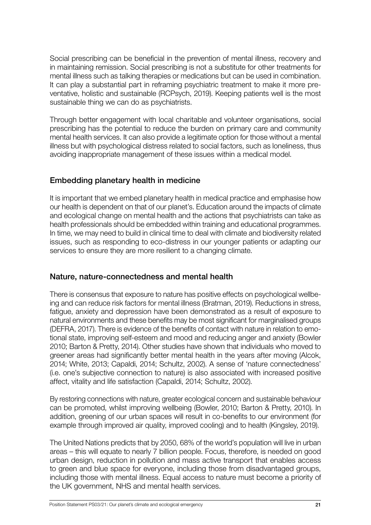Social prescribing can be beneficial in the prevention of mental illness, recovery and in maintaining remission. Social prescribing is not a substitute for other treatments for mental illness such as talking therapies or medications but can be used in combination. It can play a substantial part in reframing psychiatric treatment to make it more preventative, holistic and sustainable (RCPsych, 2019). Keeping patients well is the most sustainable thing we can do as psychiatrists.

Through better engagement with local charitable and volunteer organisations, social prescribing has the potential to reduce the burden on primary care and community mental health services. It can also provide a legitimate option for those without a mental illness but with psychological distress related to social factors, such as loneliness, thus avoiding inappropriate management of these issues within a medical model.

#### Embedding planetary health in medicine

It is important that we embed planetary health in medical practice and emphasise how our health is dependent on that of our planet's. Education around the impacts of climate and ecological change on mental health and the actions that psychiatrists can take as health professionals should be embedded within training and educational programmes. In time, we may need to build in clinical time to deal with climate and biodiversity related issues, such as responding to eco-distress in our younger patients or adapting our services to ensure they are more resilient to a changing climate.

#### Nature, nature-connectedness and mental health

There is consensus that exposure to nature has positive effects on psychological wellbeing and can reduce risk factors for mental illness (Bratman, 2019). Reductions in stress, fatigue, anxiety and depression have been demonstrated as a result of exposure to natural environments and these benefits may be most significant for marginalised groups (DEFRA, 2017). There is evidence of the benefits of contact with nature in relation to emotional state, improving self-esteem and mood and reducing anger and anxiety (Bowler 2010; Barton & Pretty, 2014). Other studies have shown that individuals who moved to greener areas had significantly better mental health in the years after moving (Alcok, 2014; White, 2013; Capaldi, 2014; Schultz, 2002). A sense of 'nature connectedness' (i.e. one's subjective connection to nature) is also associated with increased positive affect, vitality and life satisfaction (Capaldi, 2014; Schultz, 2002).

By restoring connections with nature, greater ecological concern and sustainable behaviour can be promoted, whilst improving wellbeing (Bowler, 2010; Barton & Pretty, 2010). In addition, greening of our urban spaces will result in co-benefits to our environment (for example through improved air quality, improved cooling) and to health (Kingsley, 2019).

The United Nations predicts that by 2050, 68% of the world's population will live in urban areas – this will equate to nearly 7 billion people. Focus, therefore, is needed on good urban design, reduction in pollution and mass active transport that enables access to green and blue space for everyone, including those from disadvantaged groups, including those with mental illness. Equal access to nature must become a priority of the UK government, NHS and mental health services.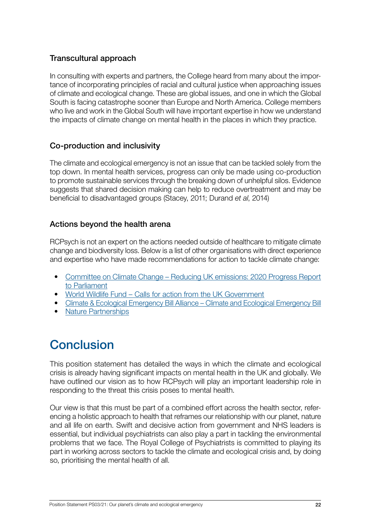#### <span id="page-21-0"></span>Transcultural approach

In consulting with experts and partners, the College heard from many about the importance of incorporating principles of racial and cultural justice when approaching issues of climate and ecological change. These are global issues, and one in which the Global South is facing catastrophe sooner than Europe and North America. College members who live and work in the Global South will have important expertise in how we understand the impacts of climate change on mental health in the places in which they practice.

#### Co-production and inclusivity

The climate and ecological emergency is not an issue that can be tackled solely from the top down. In mental health services, progress can only be made using co-production to promote sustainable services through the breaking down of unhelpful silos. Evidence suggests that shared decision making can help to reduce overtreatment and may be beneficial to disadvantaged groups (Stacey, 2011; Durand *et al*, 2014)

#### Actions beyond the health arena

RCPsych is not an expert on the actions needed outside of healthcare to mitigate climate change and biodiversity loss. Below is a list of other organisations with direct experience and expertise who have made recommendations for action to tackle climate change:

- [Committee on Climate Change Reducing UK emissions: 2020 Progress Report](https://www.theccc.org.uk/publication/reducing-uk-emissions-2020-progress-report-to-parliament/) [to Parliament](https://www.theccc.org.uk/publication/reducing-uk-emissions-2020-progress-report-to-parliament/)
- [World Wildlife Fund Calls for action from the UK Government](https://www.wwf.org.uk/updates/government-climate-emergency)
- Climate & Ecological Emergency Bill Alliance – [Climate and Ecological Emergency Bill](https://www.ceebill.uk/)
- [Nature Partnerships](https://partnerships.nature.com/)

## Conclusion

This position statement has detailed the ways in which the climate and ecological crisis is already having significant impacts on mental health in the UK and globally. We have outlined our vision as to how RCPsych will play an important leadership role in responding to the threat this crisis poses to mental health.

Our view is that this must be part of a combined effort across the health sector, referencing a holistic approach to health that reframes our relationship with our planet, nature and all life on earth. Swift and decisive action from government and NHS leaders is essential, but individual psychiatrists can also play a part in tackling the environmental problems that we face. The Royal College of Psychiatrists is committed to playing its part in working across sectors to tackle the climate and ecological crisis and, by doing so, prioritising the mental health of all.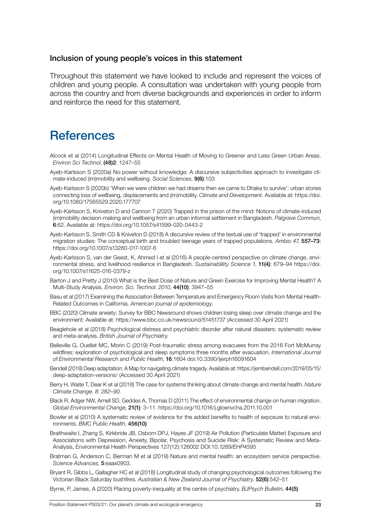#### <span id="page-22-0"></span>Inclusion of young people's voices in this statement

Throughout this statement we have looked to include and represent the voices of children and young people. A consultation was undertaken with young people from across the country and from diverse backgrounds and experiences in order to inform and reinforce the need for this statement.

## **References**

- Alcock et al (2014) Longitudinal Effects on Mental Health of Moving to Greener and Less Green Urban Areas. *Environ Sci Technol*, (48)2: 1247–55
- Ayeb-Karlsson S (2020a) No power without knowledge: A discursive subjectivities approach to investigate climate-induced (im)mobility and wellbeing. *Social Sciences*, 9(6):103
- Ayeb-Karlsson S (2020b) 'When we were children we had dreams then we came to Dhaka to survive': urban stories connecting loss of wellbeing, displacements and (im)mobility. *Climate and Development.* Available at: https://doi. org/10.1080/17565529.2020.177707
- Ayeb-Karlsson S, Kniveton D and Cannon T (2020) Trapped in the prison of the mind: Notions of climate-induced (im)mobility decision-making and wellbeing from an urban informal settlement in Bangladesh. *Palgrave Commun*, 6:62. Available at: https://doi.org/10.1057/s41599-020-0443-2
- Ayeb-Karlsson S, Smith CD & Kniveton D (2018) A discursive review of the textual use of 'trapped' in environmental migration studies: The conceptual birth and troubled teenage years of trapped populations. *Ambio 47*, 557–73: https://doi.org/10.1007/s13280-017-1007-6
- Ayeb-Karlsson S, van der Geest, K, Ahmed I et al (2016) A people-centred perspective on climate change, environmental stress, and livelihood resilience in Bangladesh. *Sustainablility Science 1*, 11(4): 679–94 https://doi. org/10.1007/s11625-016-0379-z
- Barton J and Pretty J (2010) What is the Best Dose of Nature and Green Exercise for Improving Mental Health? A Multi-Study Analysis. *Environ. Sci. Technol. 2010*, 44(10): 3947–55
- Basu et al (2017) Examining the Association Between Temperature and Emergency Room Visits from Mental Health-Related Outcomes in California. *American journal of epidemiology.*
- BBC (2020) Climate anxiety: Survey for BBC Newsround shows children losing sleep over climate change and the environment: Available at: https://www.bbc.co.uk/newsround/51451737 (Accessed 30 April 2021)
- Beaglehole et al (2018) Psychological distress and psychiatric disorder after natural disasters: systematic review and meta-analysis. *British Journal of Psychiatry.*
- Belleville G, Ouellet MC, Morin C (2019) Post-traumatic stress among evacuees from the 2016 Fort McMurray wildfires: exploration of psychological and sleep symptoms three months after evacuation. *International Journal of Environmental Research and Public Health*, 16:1604 doi:10.3390/ijerph16091604
- Bendell (2018) Deep adaptation: A Map for navigating climate tragedy. Available at: https://jembendell.com/2019/05/15/ deep-adaptation-versions/ (Accessed 30 April 2021)
- Berry H, Waite T, Dear K et al (2018) The case for systems thinking about climate change and mental health. *Nature Climate Change. 8: 282–90.*
- Black R, Adger NW, Arnell SD, Geddes A, Thomas D (2011) The effect of environmental change on human migration. *Global Environmental Change*, 21(1): 3–11. https://doi.org/10.1016/j.gloenvcha.2011.10.001
- Bowler et al (2010) A systematic review of evidence for the added benefits to health of exposure to natural environments. *BMC Public Health*, 456(10)
- Braithwaite I, Zhang S, Kirkbride JB, Osborn DPJ, Hayes JF (2019) Air Pollution (Particulate Matter) Exposure and Associations with Depression, Anxiety, Bipolar, Psychosis and Suicide Risk: A Systematic Review and Meta-Analysis, Environmental Health Perspectives 127(12):126002 DOI:10.*1289/EHP4595*
- Bratman G, Anderson C, Berman M et al (2019) Nature and mental health: an ecosystem service perspective. *Science Advances*, 5:eaax0903.
- Bryant R, Gibbs L, Gallagher HC et al (2018) Longitudinal study of changing psychological outcomes following the Victorian Black Saturday bushfires. *Australian & New Zealand Journal of Psychiatry*, 52(6):542–51
- Byrne, P, James, A (2020) Placing poverty-inequality at the centre of psychiatry. *BJPsych Bulletin*, 44(5)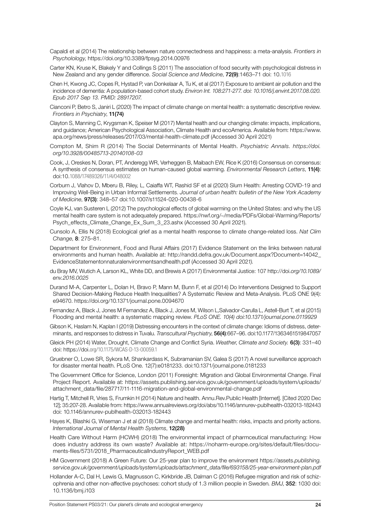- Capaldi et al (2014) The relationship between nature connectedness and happiness: a meta-analysis. *Frontiers in Psycholology*, https://doi.org/10.3389/fpsyg.2014.00976
- Carter KN, Kruse K, Blakely Y and Collings S (2011) The association of food security with psychological distress in New Zealand and any gender difference. *Social Science and Medicine*, 72(9):1463–71 doi: 10.1016
- Chen H, Kwong JC, Copes R, Hystad P, van Donkelaar A, Tu K, et al (2017) Exposure to ambient air pollution and the incidence of dementia: A population-based cohort study. *Environ Int. 108:271-277. doi: 10.1016/j.envint.2017.08.020. Epub 2017 Sep 13. PMID: 28917207.*
- Cianconi P, Betro S, Janiri L (2020) The impact of climate change on mental health: a systematic descriptive review. *Frontiers in Psychiatry*, 11(74)
- Clayton S, Manning C, Krygsman K, Speiser M (2017) Mental health and our changing climate: impacts, implications, and guidance; American Psychological Association, Climate Health and ecoAmerica. Available from: https://www. apa.org/news/press/releases/2017/03/mental-health-climate.pdf (Accessed 30 April 2021)
- Compton M, Shim R (2014) The Social Determinants of Mental Health. *Psychiatric Annals. https://doi. org/10.3928/00485713-20140108-03*
- Cook, J, Oreskes N, Doran, PT, Anderegg WR, Verheggen B, Maibach EW, Rice K (2016) Consensus on consensus: A synthesis of consensus estimates on human-caused global warming. *Environmental Research Letters*, 11(4): doi:10.1088/17489326/11/4/048002
- Corburn J, Vlahov D, Mberu B, Riley, L, Caiaffa WT, Rashid SF et al (2020) Slum Health: Arresting COVID-19 and Improving Well-Being in Urban Informal Settlements. *Journal of urban health: bulletin of the New York Academy of Medicine*, 97(3): 348–57 doi:10.1007/s11524-020-00438-6
- Coyle KJ, van Susteren L (2012) The psychological effects of global warming on the United States: and why the US mental health care system is not adequately prepared. https://nwf.org/~/media/PDFs/Global-Warming/Reports/ Psych\_effects\_Climate\_Change\_Ex\_Sum\_3\_23.ashx (Accessed 30 April 2021).
- Cunsolo A, Ellis N (2018) Ecological grief as a mental health response to climate change-related loss. *Nat Clim Change*, 8: 275–81.
- Department for Environment, Food and Rural Affairs (2017) Evidence Statement on the links between natural environments and human health. Available at: http://randd.defra.gov.uk/Document.aspx?Document=14042\_ EvidenceStatementonnaturalenvironmentsandhealth.pdf (Accessed 30 April 202*1).*
- du Bray MV, Wutich A, Larson KL, White DD, and Brewis A (2017) Environmental Justice: 107 http://doi.*org/10.1089/ env.2016.0025*
- Durand M-A, Carpenter L, Dolan H, Bravo P, Mann M, Bunn F, et al (2014) Do Interventions Designed to Support Shared Decision-Making Reduce Health Inequalities? A Systematic Review and Meta-Analysis. PLoS ONE 9(4): e94670. https://doi.org/10.1371/journal.pone.0094670
- Fernandez A, Black J, Jones M Fernandez A, Black J, Jones M, Wilson L,Salvador-Carulla L, Astell-Burt T, et al (2015) Flooding and mental health: a systematic mapping review. *PLoS ONE. 10(4) doi:10.1371/journal.pone.0119929*
- Gibson K, Haslam N, Kaplan I (2019) Distressing encounters in the context of climate change: Idioms of distress, determinants, and responses to distress in Tuvalu. *Transcultural Psychiatry*, 56(4):667–96. doi:10.1177/1363461519847057
- Gleick PH (2014) Water, Drought, Climate Change and Conflict Syria. *Weather*, *Climate and Society.* 6(3): 331–40 doi: https://doi.org/10.1175/WCAS-D-13-00059.1
- Gruebner O, Lowe SR, Sykora M, Shankardass K, Subramanian SV, Galea S (2017) A novel surveillance approach for disaster mental health. PLoS One. 12(7):e0181233. doi:10.1371/journal.pone.0181233
- The Government Office for Science, London (2011) Foresight: Migration and Global Environmental Change. Final Project Report. Available at: https://assets.publishing.service.gov.uk/government/uploads/system/uploads/ attachment\_data/file/287717/11-1116-migration-and-global-environmental-change.pd*f*
- Hartig T, Mitchell R, Vries S, Frumkin H (2014) Nature and health. Annu.Rev.Public Health [Internet]. [Cited 2020 Dec 12]; 35:207-28. Available from: https://www.annualreviews.org/doi/abs/10.1146/annurev-publhealth-032013-182443 doi: 10.1146/annurev-publhealth-032013-182443
- Hayes K, Blashki G, Wiseman J et al (2018) Climate change and mental health: risks, impacts and priority actions. *International Journal of Mental Health Systems*, 12(28)
- Health Care Without Harm (HCWH) (2018) The environmental impact of pharmceutical manufacturing: How does industry address its own waste? Available at: https://noharm-europe.org/sites/default/files/documents-files/5731/2018\_PharmaceuticalIndustryReport\_WEB.pdf
- HM Government (2018) A Green Future: Our 25-year plan to improve the environment https://assets.*publishing. service.gov.uk/government/uploads/system/uploads/attachment\_data/file/693158/25-year-environment-plan.pdf*
- Hollander A-C, Dal H, Lewis G, Magnusson C, Kirkbride JB, Dalman C (2016) Refugee migration and risk of schizophrenia and other non-affective psychoses: cohort study of 1.3 million people in Sweden*. BMJ*, 352: 1030 doi: 10.1136/bmj.i103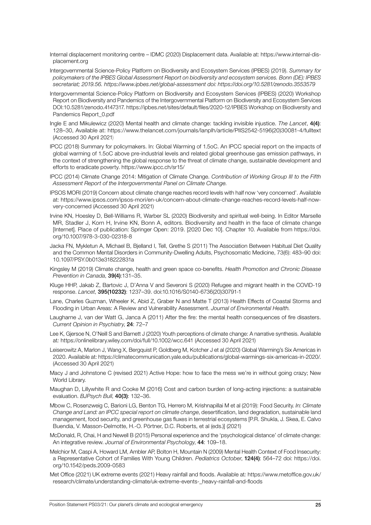- Internal displacement monitoring centre IDMC (2020) Displacement data. Available at: https://www.internal-displacement.org
- Intergovernmental Science-Policy Platform on Biodiversity and Ecosystem Services (IPBES) (2019). *Summary for policymakers of the IPBES Global Assessment Report on biodiversity and ecosystem services. Bonn (DE): IPBES secretariat; 2019.56. https://www.ipbes.net/global-assessment doi: https://doi.org/10.5281/zenodo.3553579*
- Intergovernmental Science-Policy Platform on Biodiversity and Ecosystem Services (IPBES) (2020) Workshop Report on Biodiversity and Pandemics of the Intergovernmental Platform on Biodiversity and Ecosystem Services DOI:10.5281/zenodo.4147317. https://ipbes.net/sites/default/files/2020-12/IPBES Workshop on Biodiversity and Pandemics Report\_0.pdf
- Ingle E and Mikulewicz (2020) Mental health and climate change: tackling invisible injustice. *The Lancet*, 4(4): 128–30, Available at: https://www.thelancet.com/journals/lanplh/article/PIIS2542-5196(20)30081-4/fulltext (Accessed 30 April 2021)
- IPCC (2018) Summary for policymakers. In: Global Warming of 1.5oC. An IPCC special report on the impacts of global warming of 1.5oC above pre-industrial levels and related global greenhouse gas emission pathways, in the context of strengthening the global response to the threat of climate change, sustainable development and efforts to eradicate poverty. https://www.ipcc.ch/sr15/
- IPCC (2014) Climate Change 2014: Mitigation of Climate Change. *Contribution of Working Group III to the Fifth Assessment Report of the Intergovernmental Panel on Climate Change.*
- IPSOS MORI (2019) Concern about climate change reaches record levels with half now 'very concerned'. Available at: https://www.ipsos.com/ipsos-mori/en-uk/concern-about-climate-change-reaches-record-levels-half-nowvery-concerned (Accessed 30 April 2021)
- Irvine KN, Hoesley D, Bell-Williams R, Warber SL (2020) Biodiversity and spiritual well-being. In Editor Marselle MR, Stadler J, Korn H, Irvine KN, Bonn A, editors. Biodiversity and health in the face of climate change [Internet]. Place of publication: Springer Open: 2019. [2020 Dec 10]. Chapter 10. Available from https://doi. org/10.1007/978-3-030-02318-8
- Jacka FN, Mykletun A, Michael B, Bjelland I, Tell, Grethe S (2011) The Association Between Habitual Diet Quality and the Common Mental Disorders in Community-Dwelling Adults, Psychosomatic Medicine, 73(6): 483–90 doi: 10.1097/PSY.0b013e318222831a
- Kingsley M (2019) Climate change, health and green space co-benefits. *Health Promotion and Chronic Disease Prevention in Canada*, 39(4):131–35.
- Kluge HHP, Jakab Z, Bartovic J, D'Anna V and Severoni S (2020) Refugee and migrant health in the COVID-19 response. *Lancet*, 395(10232): 1237–39. doi:10.1016/S0140-6736(20)30791-1
- Lane, Charles Guzman, Wheeler K, Abid Z, Graber N and Matte T (2013) Health Effects of Coastal Storms and Flooding in Urban Areas: A Review and Vulnerability Assessment. *Journal of Environmental Health.*
- Laugharne J, van der Watt G, Janca A (2011) After the fire: the mental health consequences of fire disasters. *Current Opinion in Psychiatry*, 24: 72–7
- Lee K, Gjersoe N, O'Neill S and Barnett J (2020) Youth perceptions of climate change: A narrative synthesis. Available at*:* https://onlinelibrary.wiley.com/doi/full/10.1002/wcc.641 (Accessed 30 April 2021)
- Leiserowitz A, Marlon J, Wang X, Bergquist P, Goldberg M, Kotcher J et al (2020) Global Warming's Six Americas in 2020. Available at: https://climatecommunication.yale.edu/publications/global-warmings-six-americas-in-2020/. (Accessed 30 April 2021)
- Macy J and Johnstone C (revised 2021) Active Hope: how to face the mess we're in without going crazy; New World Library.
- Maughan D, Lillywhite R and Cooke M (2016) Cost and carbon burden of long-acting injections: a sustainable evaluation. *BJPsych Bull*, 40(3): 132–36.
- Mbow C, Rosenzweig C, Barioni LG, Benton TG, Herrero M, Krishnapillai M et al (2019): Food Security. *In: Climate Change and Land: an IPCC special report on climate change*, desertification, land degradation, sustainable land management, food security, and greenhouse gas fluxes in terrestrial ecosystems [P.R. Shukla, J. Skea, E. Calvo Buendia, V. Masson-Delmotte, H.-O. Pörtner, D.C. Roberts, et al (eds.)] (2021)
- McDonald, R, Chai, H and Newell B (2015) Personal experience and the 'psychological distance' of climate change: An integrative review. *Journal of Environmental Psychology*, 44: 109–18.
- Melchior M, Caspi A, Howard LM, Ambler AP, Bolton H, Mountain N (2009) Mental Health Context of Food Insecurity: a Representative Cohort of Families With Young Children. *Pediatrics October*, 124(4): 564–72 doi: https://doi. org/10.1542/peds.2009-0583
- Met Office (2021) UK extreme events (2021) Heavy rainfall and floods. Available at*:* https://www.metoffice.gov.uk/ research/climate/understanding-climate/uk-extreme-events-\_heavy-rainfall-and-floods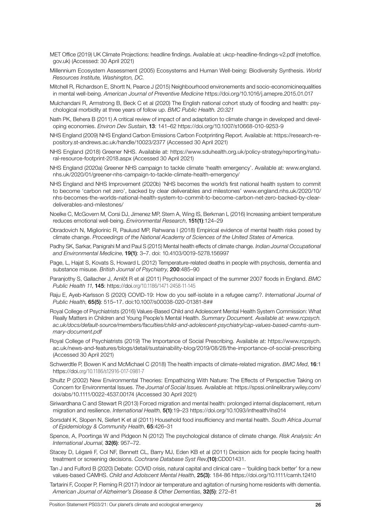- MET Office (2019) UK Climate Projections: headline findings. Available at: ukcp-headline-findings-v2.pdf (metoffice. gov.uk) (Accessed: 30 April 2021)
- Millennium Ecosystem Assessment (2005) Ecosystems and Human Well-being: Biodiversity Synthesis. *World Resources Institute, Washington, DC.*
- Mitchell R, Richardson E, Shortt N, Pearce J (2015) Neighbourhood environements and socio-economicinequalities in mental well-being. *American Journal of Preventive Medicine* https://doi.org/10.1016/j.amepre.2015.01.017
- Mulchandani R, Armstrong B, Beck C et al (2020) The English national cohort study of flooding and health: psychological morbidity at three years of follow up. *BMC Public Health. 20:321*
- Nath PK, Behera B (2011) A critical review of impact of and adaptation to climate change in developed and developing economies. *Environ Dev Sustain*, 13: 141–62 https://doi.org/10.1007/s10668-010-9253-9
- NHS England (2009) NHS England Carbon Emissions Carbon Footprinting Report. Available at: https://research-repository.st-andrews.ac.uk/handle/10023/2377 (Accessed 30 April 2021)
- NHS England (2018) Greener NHS. Available at: https://www.sduhealth.org.uk/policy-strategy/reporting/natural-resource-footprint-2018.aspx (Accessed 30 April 2021)
- NHS England (2020a) Greener NHS campaign to tackle climate 'health emergency'. Available at: www.england. nhs.uk/2020/01/greener-nhs-campaign-to-tackle-climate-health-emergency/
- NHS England and NHS Improvement (2020b) 'NHS becomes the world's first national health system to commit to become 'carbon net zero', backed by clear deliverables and milestones' www.england.nhs.uk/2020/10/ nhs-becomes-the-worlds-national-health-system-to-commit-to-become-carbon-net-zero-backed-by-cleardeliverables-and-milestones/
- Noelke C, McGovern M, Corsi DJ, Jimenez MP, Stern A, Wing IS, Berkman L (2016) Increasing ambient temperature reduces emotional well-being. *Environmental Research*, 151(1):124–29
- Obradovich N, Migliorinic R, Paulusd MP, Rahwana I (2018) Empirical evidence of mental health risks posed by climate change. *Proceedings of the National Academy of Sciences of the United States of America.*
- Padhy SK, Sarkar, Panigrahi M and Paul S (2015) Mental health effects of climate change. *Indian Journal Occupational and Environmental Medicine*, 19(1): 3–7. doi: 10.4103/0019-5278.156997
- Page, L, Hajat S, Kovats S, Howard L (2012) Temperature-related deaths in people with psychosis, dementia and substance misuse. *British Journal of Psychiatry*, 200:485–90
- Paranjothy S, Gallacher J, Amlôt R et al (2011) Psychosocial impact of the summer 2007 floods in England. *BMC Public Health 11*, 145: https://doi.org/10.1186/1471-2458-11-145
- Raju E, Ayeb-Karlsson S (2020) COVID-19: How do you self-isolate in a refugee camp?. *International Journal of Public Health*, 65(5): 515–17. doi:10.1007/s00038-020-01381-8##
- Royal College of Psychiatrists (2016) Values-Based Child and Adolescent Mental Health System Commission: What Really Matters in Children and Young People's Mental Health. *Summary Document. Available at: www.rcpsych. ac.uk/docs/default-source/members/faculties/child-and-adolescent-psychiatry/cap-values-based-camhs-summary-document.pdf*
- Royal College of Psychiatrists (2019) The Importance of Social Prescribing. Available at: https://www.rcpsych. ac.uk/news-and-features/blogs/detail/sustainability-blog/2019/08/28/the-importance-of-social-prescribing (Accessed 30 April 2021)
- Schwerdtle P, Bowen K and McMichael C (2018) The health impacts of climate-related migration. *BMC Med*, 16:1 https://doi.org/10.1186/s12916-017-0981-7
- Shultz P (2002) New Environmental Theories: Empathizing With Nature: The Effects of Perspective Taking on Concern for Environmental Issues. *The Journal of Social Issues.* Available at: https://spssi.onlinelibrary.wiley.com/ doi/abs/10.1111/0022-4537.00174 (Accessed 30 April 2021)
- Siriwardhana C and Stewart R (2013) Forced migration and mental health: prolonged internal displacement, return migration and resilience. *International Health*, 5(1):19–23 https://doi.org/10.1093/inthealth/ihs014
- Sorsdahl K, Slopen N, Siefert K et al (2011) Household food insufficiency and mental health. *South Africa Journal of Epidemiology & Community Health*, 65:426–31
- Spence, A, Poortinga W and Pidgeon N (2012) The psychological distance of climate change. *Risk Analysis: An International Journal*, 32(6): 957–72.
- Stacey D, Légaré F, Col NF, Bennett CL, Barry MJ, Eden KB et al (2011) Decision aids for people facing health treatment or screening decisions. *Cochrane Database Syst Rev*,(10):CD001431.
- Tan J and Fulford B (2020) Debate: COVID crisis, natural capital and clinical care 'building back better' for a new values-based CAMHS. *Child and Adolscent Mental Health*, 25(3): 184-86 https://doi.org/10.1111/camh.12410
- Tartarini F, Cooper P, Fleming R (2017) Indoor air temperature and agitation of nursing home residents with dementia. *American Journal of Alzheimer's Disease & Other Dementias*, 32(5): 272–81